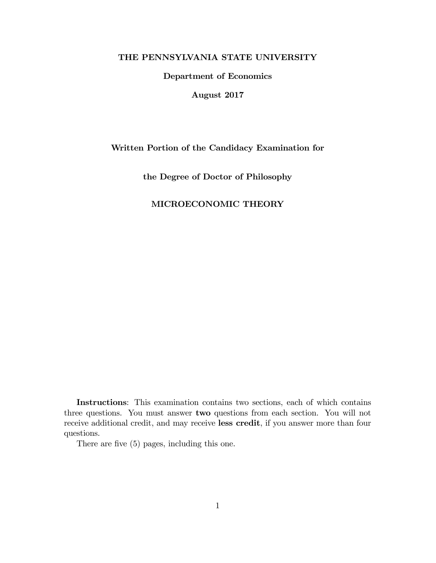## THE PENNSYLVANIA STATE UNIVERSITY

Department of Economics

August 2017

### Written Portion of the Candidacy Examination for

the Degree of Doctor of Philosophy

# MICROECONOMIC THEORY

Instructions: This examination contains two sections, each of which contains three questions. You must answer two questions from each section. You will not receive additional credit, and may receive less credit, if you answer more than four questions.

There are five (5) pages, including this one.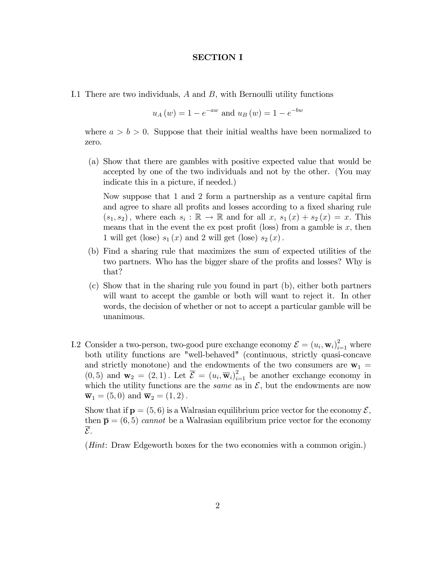### SECTION I

I.1 There are two individuals, A and B, with Bernoulli utility functions

$$
u_A(w) = 1 - e^{-aw}
$$
 and  $u_B(w) = 1 - e^{-bw}$ 

where  $a > b > 0$ . Suppose that their initial wealths have been normalized to zero.

(a) Show that there are gambles with positive expected value that would be accepted by one of the two individuals and not by the other. (You may indicate this in a picture, if needed.)

Now suppose that 1 and 2 form a partnership as a venture capital firm and agree to share all profits and losses according to a fixed sharing rule  $(s_1, s_2)$ , where each  $s_i : \mathbb{R} \to \mathbb{R}$  and for all  $x, s_1(x) + s_2(x) = x$ . This means that in the event the ex post profit (loss) from a gamble is  $x$ , then 1 will get (lose)  $s_1(x)$  and 2 will get (lose)  $s_2(x)$ .

- (b) Find a sharing rule that maximizes the sum of expected utilities of the two partners. Who has the bigger share of the profits and losses? Why is that?
- (c) Show that in the sharing rule you found in part (b), either both partners will want to accept the gamble or both will want to reject it. In other words, the decision of whether or not to accept a particular gamble will be unanimous.
- I.2 Consider a two-person, two-good pure exchange economy  $\mathcal{E} = (u_i, \mathbf{w}_i)_{i=1}^2$  where both utility functions are "well-behaved" (continuous, strictly quasi-concave and strictly monotone) and the endowments of the two consumers are  $w_1$  =  $(0,5)$  and  $\mathbf{w}_2 = (2,1)$ . Let  $\overline{\mathcal{E}} = (u_i, \overline{\mathbf{w}}_i)_{i=1}^2$  be another exchange economy in which the utility functions are the *same* as in  $\mathcal{E}$ , but the endowments are now  $\overline{\mathbf{w}}_1 = (5,0)$  and  $\overline{\mathbf{w}}_2 = (1,2)$ .

Show that if  $p = (5, 6)$  is a Walrasian equilibrium price vector for the economy  $\mathcal{E}$ , then  $\bar{\mathbf{p}} = (6, 5)$  cannot be a Walrasian equilibrium price vector for the economy  $\overline{\mathcal{E}}$ .

(Hint: Draw Edgeworth boxes for the two economies with a common origin.)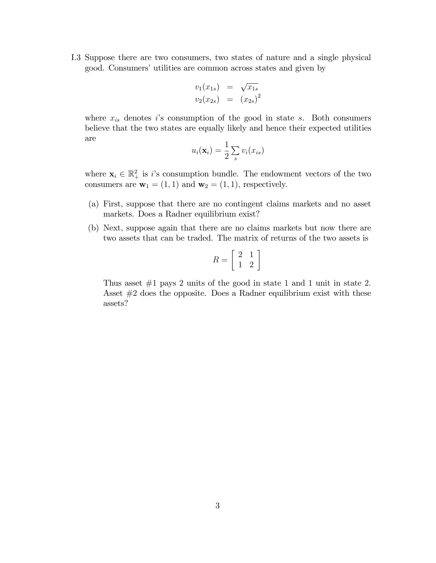I.3 Suppose there are two consumers, two states of nature and a single physical good. Consumers' utilities are common across states and given by

$$
v_1(x_{1s}) = \sqrt{x_{1s}}
$$
  

$$
v_2(x_{2s}) = (x_{2s})^2
$$

where  $x_{is}$  denotes is consumption of the good in state s. Both consumers believe that the two states are equally likely and hence their expected utilities are

$$
u_i(\mathbf{x}_i) = \frac{1}{2} \sum_s v_i(x_{is})
$$

where  $\mathbf{x}_i \in \mathbb{R}_+^2$  is i's consumption bundle. The endowment vectors of the two consumers are  $\mathbf{w}_1 = (1, 1)$  and  $\mathbf{w}_2 = (1, 1)$ , respectively.

- (a) First, suppose that there are no contingent claims markets and no asset markets. Does a Radner equilibrium exist?
- (b) Next, suppose again that there are no claims markets but now there are two assets that can be traded. The matrix of returns of the two assets is

$$
R = \left[\begin{array}{cc} 2 & 1 \\ 1 & 2 \end{array}\right]
$$

Thus asset  $#1$  pays 2 units of the good in state 1 and 1 unit in state 2. Asset #2 does the opposite. Does a Radner equilibrium exist with these assets?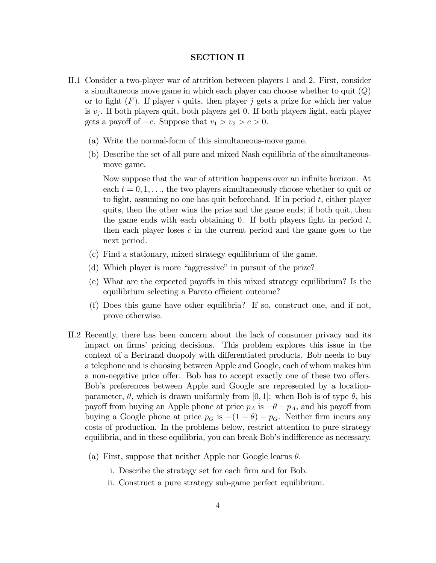### SECTION II

- II.1 Consider a two-player war of attrition between players 1 and 2. First, consider a simultaneous move game in which each player can choose whether to quit  $(Q)$ or to fight  $(F)$ . If player i quits, then player j gets a prize for which her value is  $v_j$ . If both players quit, both players get 0. If both players fight, each player gets a payoff of  $-c$ . Suppose that  $v_1 > v_2 > c > 0$ .
	- (a) Write the normal-form of this simultaneous-move game.
	- (b) Describe the set of all pure and mixed Nash equilibria of the simultaneousmove game.

Now suppose that the war of attrition happens over an infinite horizon. At each  $t = 0, 1, \ldots$ , the two players simultaneously choose whether to quit or to fight, assuming no one has quit beforehand. If in period  $t$ , either player quits, then the other wins the prize and the game ends; if both quit, then the game ends with each obtaining 0. If both players fight in period  $t$ , then each player loses  $c$  in the current period and the game goes to the next period.

- (c) Find a stationary, mixed strategy equilibrium of the game.
- (d) Which player is more "aggressive" in pursuit of the prize?
- (e) What are the expected payo§s in this mixed strategy equilibrium? Is the equilibrium selecting a Pareto efficient outcome?
- (f) Does this game have other equilibria? If so, construct one, and if not, prove otherwise.
- II.2 Recently, there has been concern about the lack of consumer privacy and its impact on firms' pricing decisions. This problem explores this issue in the context of a Bertrand duopoly with differentiated products. Bob needs to buy a telephone and is choosing between Apple and Google, each of whom makes him a non-negative price offer. Bob has to accept exactly one of these two offers. Bobís preferences between Apple and Google are represented by a locationparameter,  $\theta$ , which is drawn uniformly from [0, 1]: when Bob is of type  $\theta$ , his payoff from buying an Apple phone at price  $p_A$  is  $-\theta - p_A$ , and his payoff from buying a Google phone at price  $p<sub>G</sub>$  is  $-(1 - \theta) - p<sub>G</sub>$ . Neither firm incurs any costs of production. In the problems below, restrict attention to pure strategy equilibria, and in these equilibria, you can break Bob's indifference as necessary.
	- (a) First, suppose that neither Apple nor Google learns  $\theta$ .
		- i. Describe the strategy set for each firm and for Bob.
		- ii. Construct a pure strategy sub-game perfect equilibrium.